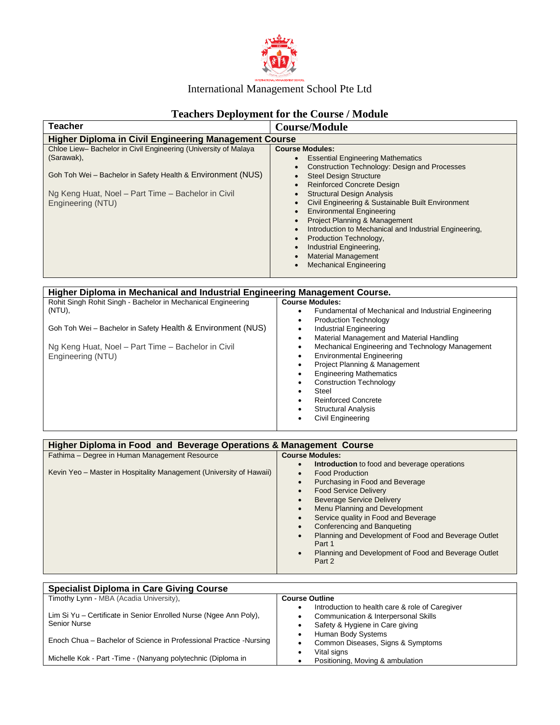

# **Teachers Deployment for the Course / Module**

| <b>Teacher</b>                                                 | <b>Course/Module</b>                                   |
|----------------------------------------------------------------|--------------------------------------------------------|
| <b>Higher Diploma in Civil Engineering Management Course</b>   |                                                        |
| Chloe Liew-Bachelor in Civil Engineering (University of Malaya | <b>Course Modules:</b>                                 |
| (Sarawak),                                                     | <b>Essential Engineering Mathematics</b>               |
|                                                                | Construction Technology: Design and Processes          |
| Goh Toh Wei – Bachelor in Safety Health & Environment (NUS)    | <b>Steel Design Structure</b>                          |
|                                                                | <b>Reinforced Concrete Design</b>                      |
| Ng Keng Huat, Noel – Part Time – Bachelor in Civil             | <b>Structural Design Analysis</b>                      |
| Engineering (NTU)                                              | Civil Engineering & Sustainable Built Environment      |
|                                                                | <b>Environmental Engineering</b>                       |
|                                                                | Project Planning & Management                          |
|                                                                | Introduction to Mechanical and Industrial Engineering, |
|                                                                | Production Technology,                                 |
|                                                                | Industrial Engineering,                                |
|                                                                | <b>Material Management</b>                             |
|                                                                | <b>Mechanical Engineering</b>                          |
|                                                                |                                                        |

| Higher Diploma in Mechanical and Industrial Engineering Management Course. |                                                                   |  |
|----------------------------------------------------------------------------|-------------------------------------------------------------------|--|
| Rohit Singh Rohit Singh - Bachelor in Mechanical Engineering               | <b>Course Modules:</b>                                            |  |
| $(NTU)$ ,                                                                  | Fundamental of Mechanical and Industrial Engineering<br>$\bullet$ |  |
|                                                                            | <b>Production Technology</b><br>٠                                 |  |
| Goh Toh Wei – Bachelor in Safety Health & Environment (NUS)                | Industrial Engineering<br>$\bullet$                               |  |
|                                                                            | Material Management and Material Handling<br>$\bullet$            |  |
| Ng Keng Huat, Noel - Part Time - Bachelor in Civil                         | Mechanical Engineering and Technology Management<br>$\bullet$     |  |
| Engineering (NTU)                                                          | <b>Environmental Engineering</b><br>٠                             |  |
|                                                                            | Project Planning & Management<br>٠                                |  |
|                                                                            | <b>Engineering Mathematics</b>                                    |  |
|                                                                            | <b>Construction Technology</b><br>$\bullet$                       |  |
|                                                                            | Steel<br>٠                                                        |  |
|                                                                            | <b>Reinforced Concrete</b><br>$\bullet$                           |  |
|                                                                            | <b>Structural Analysis</b><br>٠                                   |  |
|                                                                            | Civil Engineering<br>$\bullet$                                    |  |
|                                                                            |                                                                   |  |

| Higher Diploma in Food and Beverage Operations & Management Course  |                                                                             |  |
|---------------------------------------------------------------------|-----------------------------------------------------------------------------|--|
| Fathima - Degree in Human Management Resource                       | <b>Course Modules:</b>                                                      |  |
|                                                                     | Introduction to food and beverage operations<br>$\bullet$                   |  |
| Kevin Yeo – Master in Hospitality Management (University of Hawaii) | <b>Food Production</b><br>$\bullet$                                         |  |
|                                                                     | Purchasing in Food and Beverage<br>$\bullet$                                |  |
|                                                                     | <b>Food Service Delivery</b><br>$\bullet$                                   |  |
|                                                                     | <b>Beverage Service Delivery</b><br>$\bullet$                               |  |
|                                                                     | Menu Planning and Development<br>$\bullet$                                  |  |
|                                                                     | Service quality in Food and Beverage<br>$\bullet$                           |  |
|                                                                     | Conferencing and Banqueting<br>$\bullet$                                    |  |
|                                                                     | Planning and Development of Food and Beverage Outlet<br>$\bullet$<br>Part 1 |  |
|                                                                     | Planning and Development of Food and Beverage Outlet<br>$\bullet$<br>Part 2 |  |

| <b>Specialist Diploma in Care Giving Course</b>                                   |                                                                                                                            |
|-----------------------------------------------------------------------------------|----------------------------------------------------------------------------------------------------------------------------|
| Timothy Lynn - MBA (Acadia University),                                           | <b>Course Outline</b>                                                                                                      |
| Lim Si Yu - Certificate in Senior Enrolled Nurse (Ngee Ann Poly),<br>Senior Nurse | Introduction to health care & role of Caregiver<br>Communication & Interpersonal Skills<br>Safety & Hygiene in Care giving |
| Enoch Chua - Bachelor of Science in Professional Practice - Nursing               | Human Body Systems<br>Common Diseases, Signs & Symptoms                                                                    |
| Michelle Kok - Part - Time - (Nanyang polytechnic (Diploma in                     | Vital signs<br>Positioning, Moving & ambulation                                                                            |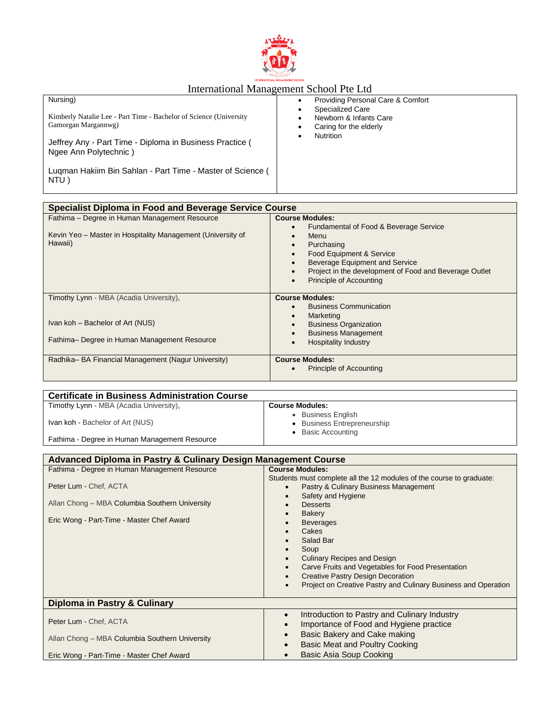

| Nursing)                                                           | Providing Personal Care & Comfort |
|--------------------------------------------------------------------|-----------------------------------|
| Kimberly Natalie Lee - Part Time - Bachelor of Science (University | <b>Specialized Care</b>           |
| Gamorgan Margannwg)                                                | Newborn & Infants Care            |
| Jeffrey Any - Part Time - Diploma in Business Practice (           | Caring for the elderly            |
| Ngee Ann Polytechnic)                                              | <b>Nutrition</b>                  |
| Luqman Hakiim Bin Sahlan - Part Time - Master of Science (<br>NTU) |                                   |

| Specialist Diploma in Food and Beverage Service Course                                                                  |                                                                                                                                                                                                                                                                                                                                                    |  |
|-------------------------------------------------------------------------------------------------------------------------|----------------------------------------------------------------------------------------------------------------------------------------------------------------------------------------------------------------------------------------------------------------------------------------------------------------------------------------------------|--|
| Fathima - Degree in Human Management Resource<br>Kevin Yeo - Master in Hospitality Management (University of<br>Hawaii) | <b>Course Modules:</b><br>Fundamental of Food & Beverage Service<br>$\bullet$<br>Menu<br>$\bullet$<br>Purchasing<br>$\bullet$<br>Food Equipment & Service<br>$\bullet$<br><b>Beverage Equipment and Service</b><br>$\bullet$<br>Project in the development of Food and Beverage Outlet<br>$\bullet$<br><b>Principle of Accounting</b><br>$\bullet$ |  |
| Timothy Lynn - MBA (Acadia University),<br>Ivan koh - Bachelor of Art (NUS)                                             | <b>Course Modules:</b><br><b>Business Communication</b><br>Marketing<br>$\bullet$<br><b>Business Organization</b><br>$\bullet$                                                                                                                                                                                                                     |  |
| Fathima- Degree in Human Management Resource                                                                            | <b>Business Management</b><br>$\bullet$<br><b>Hospitality Industry</b><br>$\bullet$                                                                                                                                                                                                                                                                |  |
| Radhika-BA Financial Management (Nagur University)                                                                      | <b>Course Modules:</b><br>Principle of Accounting<br>$\bullet$                                                                                                                                                                                                                                                                                     |  |

| <b>Certificate in Business Administration Course</b> |                                                                                   |
|------------------------------------------------------|-----------------------------------------------------------------------------------|
| Timothy Lynn - MBA (Acadia University),              | <b>Course Modules:</b>                                                            |
| Ivan koh - Bachelor of Art (NUS)                     | <b>Business English</b><br>• Business Entrepreneurship<br><b>Basic Accounting</b> |
| Fathima - Degree in Human Management Resource        |                                                                                   |

| Advanced Diploma in Pastry & Culinary Design Management Course |                                                                      |  |
|----------------------------------------------------------------|----------------------------------------------------------------------|--|
| Fathima - Degree in Human Management Resource                  | <b>Course Modules:</b>                                               |  |
|                                                                | Students must complete all the 12 modules of the course to graduate: |  |
| Peter Lum - Chef, ACTA                                         | Pastry & Culinary Business Management<br>$\bullet$                   |  |
|                                                                | Safety and Hygiene                                                   |  |
| Allan Chong - MBA Columbia Southern University                 | <b>Desserts</b>                                                      |  |
|                                                                | Bakery                                                               |  |
| Eric Wong - Part-Time - Master Chef Award                      | <b>Beverages</b>                                                     |  |
|                                                                | Cakes                                                                |  |
|                                                                | Salad Bar                                                            |  |
|                                                                | Soup                                                                 |  |
|                                                                | <b>Culinary Recipes and Design</b>                                   |  |
|                                                                | Carve Fruits and Vegetables for Food Presentation                    |  |
|                                                                | <b>Creative Pastry Design Decoration</b>                             |  |
|                                                                | Project on Creative Pastry and Culinary Business and Operation       |  |
| Diploma in Pastry & Culinary                                   |                                                                      |  |
|                                                                | Introduction to Pastry and Culinary Industry<br>$\bullet$            |  |
| Peter Lum - Chef, ACTA                                         | Importance of Food and Hygiene practice                              |  |
|                                                                | Basic Bakery and Cake making                                         |  |
| Allan Chong - MBA Columbia Southern University                 | Basic Meat and Poultry Cooking<br>$\bullet$                          |  |
| Eric Wong - Part-Time - Master Chef Award                      | Basic Asia Soup Cooking<br>$\bullet$                                 |  |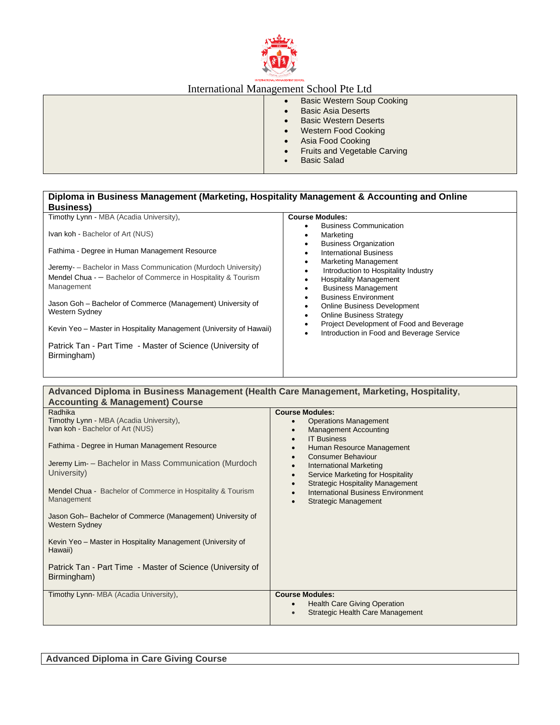

| <b>Basic Western Soup Cooking</b>         |
|-------------------------------------------|
| <b>Basic Asia Deserts</b>                 |
| <b>Basic Western Deserts</b>              |
| <b>Western Food Cooking</b>               |
| Asia Food Cooking                         |
| Fruits and Vegetable Carving<br>$\bullet$ |
| <b>Basic Salad</b>                        |
|                                           |

### **Diploma in Business Management (Marketing, Hospitality Management & Accounting and Online Business)**

| Timothy Lynn - MBA (Acadia University),                                                                                                                                                                                                                                                             | <b>Course Modules:</b>                                                                                                                                                                                                                                                                                                                                                |
|-----------------------------------------------------------------------------------------------------------------------------------------------------------------------------------------------------------------------------------------------------------------------------------------------------|-----------------------------------------------------------------------------------------------------------------------------------------------------------------------------------------------------------------------------------------------------------------------------------------------------------------------------------------------------------------------|
| Ivan koh - Bachelor of Art (NUS)                                                                                                                                                                                                                                                                    | <b>Business Communication</b><br>٠<br>Marketing<br>٠                                                                                                                                                                                                                                                                                                                  |
| Fathima - Degree in Human Management Resource                                                                                                                                                                                                                                                       | <b>Business Organization</b><br>٠<br><b>International Business</b><br>٠                                                                                                                                                                                                                                                                                               |
| Jeremy - Bachelor in Mass Communication (Murdoch University)<br>Mendel Chua - - Bachelor of Commerce in Hospitality & Tourism<br>Management<br>Jason Goh - Bachelor of Commerce (Management) University of<br>Western Sydney<br>Kevin Yeo – Master in Hospitality Management (University of Hawaii) | <b>Marketing Management</b><br>٠<br>Introduction to Hospitality Industry<br>٠<br><b>Hospitality Management</b><br><b>Business Management</b><br><b>Business Environment</b><br>Online Business Development<br>٠<br><b>Online Business Strategy</b><br>$\bullet$<br>Project Development of Food and Beverage<br>Introduction in Food and Beverage Service<br>$\bullet$ |
| Patrick Tan - Part Time - Master of Science (University of<br>Birmingham)                                                                                                                                                                                                                           |                                                                                                                                                                                                                                                                                                                                                                       |
|                                                                                                                                                                                                                                                                                                     |                                                                                                                                                                                                                                                                                                                                                                       |

#### **Advanced Diploma in Business Management (Health Care Management, Marketing, Hospitality, Accounting & Management) Course** Radhika **Course Modules:**

| Timothy Lynn - MBA (Acadia University),<br>Ivan koh - Bachelor of Art (NUS)<br>Fathima - Degree in Human Management Resource<br>Jeremy Lim- - Bachelor in Mass Communication (Murdoch<br>University)<br>Mendel Chua - Bachelor of Commerce in Hospitality & Tourism<br>Management<br>Jason Goh-Bachelor of Commerce (Management) University of<br>Western Sydney<br>Kevin Yeo - Master in Hospitality Management (University of<br>Hawaii)<br>Patrick Tan - Part Time - Master of Science (University of | <b>Operations Management</b><br>$\bullet$<br><b>Management Accounting</b><br>$\bullet$<br><b>IT Business</b><br>$\bullet$<br>Human Resource Management<br>$\bullet$<br>Consumer Behaviour<br>$\bullet$<br><b>International Marketing</b><br>$\bullet$<br>Service Marketing for Hospitality<br>$\bullet$<br><b>Strategic Hospitality Management</b><br>$\bullet$<br><b>International Business Environment</b><br>$\bullet$<br><b>Strategic Management</b> |
|----------------------------------------------------------------------------------------------------------------------------------------------------------------------------------------------------------------------------------------------------------------------------------------------------------------------------------------------------------------------------------------------------------------------------------------------------------------------------------------------------------|----------------------------------------------------------------------------------------------------------------------------------------------------------------------------------------------------------------------------------------------------------------------------------------------------------------------------------------------------------------------------------------------------------------------------------------------------------|
| Birmingham)                                                                                                                                                                                                                                                                                                                                                                                                                                                                                              |                                                                                                                                                                                                                                                                                                                                                                                                                                                          |
| Timothy Lynn-MBA (Acadia University),                                                                                                                                                                                                                                                                                                                                                                                                                                                                    | <b>Course Modules:</b><br><b>Health Care Giving Operation</b><br>$\bullet$<br>Strategic Health Care Management<br>$\bullet$                                                                                                                                                                                                                                                                                                                              |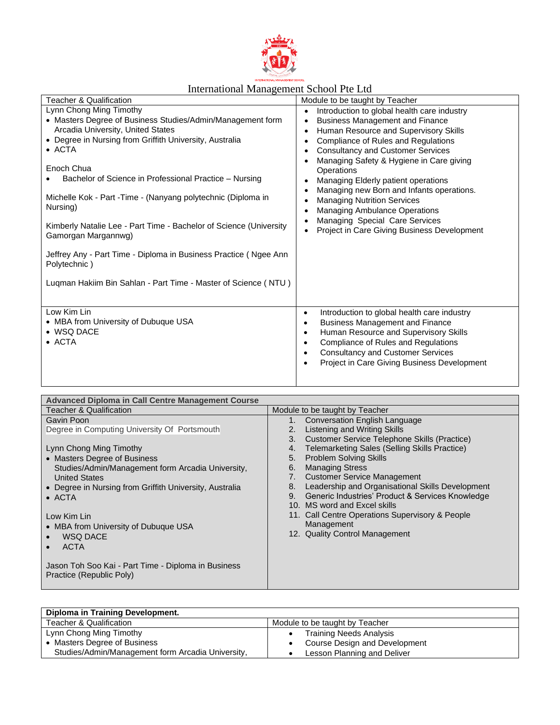

| <b>Teacher &amp; Qualification</b>                                                                                                                                                                                                                                                                                                                                                                                                                                                                                    | Module to be taught by Teacher                                                                                                                                                                                                                                                                                                                                                                                                                                                                                                                                                                                                   |
|-----------------------------------------------------------------------------------------------------------------------------------------------------------------------------------------------------------------------------------------------------------------------------------------------------------------------------------------------------------------------------------------------------------------------------------------------------------------------------------------------------------------------|----------------------------------------------------------------------------------------------------------------------------------------------------------------------------------------------------------------------------------------------------------------------------------------------------------------------------------------------------------------------------------------------------------------------------------------------------------------------------------------------------------------------------------------------------------------------------------------------------------------------------------|
| Lynn Chong Ming Timothy<br>• Masters Degree of Business Studies/Admin/Management form<br>Arcadia University, United States<br>• Degree in Nursing from Griffith University, Australia<br>• ACTA<br>Enoch Chua<br>Bachelor of Science in Professional Practice – Nursing<br>Michelle Kok - Part - Time - (Nanyang polytechnic (Diploma in<br>Nursing)<br>Kimberly Natalie Lee - Part Time - Bachelor of Science (University<br>Gamorgan Margannwg)<br>Jeffrey Any - Part Time - Diploma in Business Practice (Ngee Ann | Introduction to global health care industry<br>$\bullet$<br><b>Business Management and Finance</b><br>$\bullet$<br>Human Resource and Supervisory Skills<br>$\bullet$<br><b>Compliance of Rules and Regulations</b><br>$\bullet$<br><b>Consultancy and Customer Services</b><br>Managing Safety & Hygiene in Care giving<br>Operations<br>Managing Elderly patient operations<br>$\bullet$<br>Managing new Born and Infants operations.<br><b>Managing Nutrition Services</b><br>$\bullet$<br><b>Managing Ambulance Operations</b><br>$\bullet$<br>Managing Special Care Services<br>Project in Care Giving Business Development |
| Polytechnic)<br>Luqman Hakiim Bin Sahlan - Part Time - Master of Science (NTU)                                                                                                                                                                                                                                                                                                                                                                                                                                        |                                                                                                                                                                                                                                                                                                                                                                                                                                                                                                                                                                                                                                  |
| Low Kim Lin<br>• MBA from University of Dubuque USA<br>• WSQ DACE<br>$\bullet$ ACTA                                                                                                                                                                                                                                                                                                                                                                                                                                   | Introduction to global health care industry<br>$\bullet$<br><b>Business Management and Finance</b><br>$\bullet$<br>Human Resource and Supervisory Skills<br>$\bullet$<br><b>Compliance of Rules and Regulations</b><br>$\bullet$<br><b>Consultancy and Customer Services</b><br>$\bullet$<br>Project in Care Giving Business Development                                                                                                                                                                                                                                                                                         |

| <b>Advanced Diploma in Call Centre Management Course</b> |                                                        |
|----------------------------------------------------------|--------------------------------------------------------|
| <b>Teacher &amp; Qualification</b>                       | Module to be taught by Teacher                         |
| Gavin Poon                                               | Conversation English Language                          |
| Degree in Computing University Of Portsmouth             | Listening and Writing Skills<br>2.                     |
|                                                          | Customer Service Telephone Skills (Practice)<br>3.     |
| Lynn Chong Ming Timothy                                  | Telemarketing Sales (Selling Skills Practice)<br>4.    |
| • Masters Degree of Business                             | <b>Problem Solving Skills</b><br>5.                    |
| Studies/Admin/Management form Arcadia University,        | <b>Managing Stress</b><br>6.                           |
| <b>United States</b>                                     | <b>Customer Service Management</b><br>7.               |
| • Degree in Nursing from Griffith University, Australia  | Leadership and Organisational Skills Development<br>8. |
| $\bullet$ ACTA                                           | Generic Industries' Product & Services Knowledge<br>9. |
|                                                          | 10. MS word and Excel skills                           |
| Low Kim Lin                                              | 11. Call Centre Operations Supervisory & People        |
| • MBA from University of Dubuque USA                     | Management                                             |
| <b>WSQ DACE</b>                                          | 12. Quality Control Management                         |
| <b>ACTA</b>                                              |                                                        |
|                                                          |                                                        |
| Jason Toh Soo Kai - Part Time - Diploma in Business      |                                                        |
| Practice (Republic Poly)                                 |                                                        |
|                                                          |                                                        |

| Diploma in Training Development.                  |                                |
|---------------------------------------------------|--------------------------------|
| Teacher & Qualification                           | Module to be taught by Teacher |
| Lynn Chong Ming Timothy                           | <b>Training Needs Analysis</b> |
| • Masters Degree of Business                      | Course Design and Development  |
| Studies/Admin/Management form Arcadia University, | Lesson Planning and Deliver    |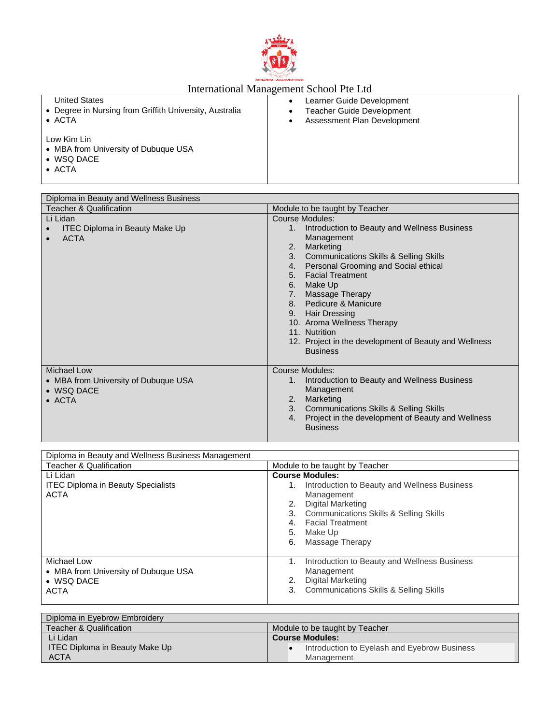

| <b>United States</b>                                                                        | Learner Guide Development        |
|---------------------------------------------------------------------------------------------|----------------------------------|
| • Degree in Nursing from Griffith University, Australia                                     | <b>Teacher Guide Development</b> |
| $\bullet$ ACTA                                                                              | Assessment Plan Development      |
| Low Kim Lin<br>• MBA from University of Dubuque USA<br>$\bullet$ WSQ DACE<br>$\bullet$ ACTA |                                  |

| Diploma in Beauty and Wellness Business                                                    |                                                                                                                                                                                                                                                                                                                                                                                                                                                                     |
|--------------------------------------------------------------------------------------------|---------------------------------------------------------------------------------------------------------------------------------------------------------------------------------------------------------------------------------------------------------------------------------------------------------------------------------------------------------------------------------------------------------------------------------------------------------------------|
| Teacher & Qualification                                                                    | Module to be taught by Teacher                                                                                                                                                                                                                                                                                                                                                                                                                                      |
| Li Lidan<br><b>ITEC Diploma in Beauty Make Up</b><br><b>ACTA</b><br>$\bullet$              | Course Modules:<br>Introduction to Beauty and Wellness Business<br>1.<br>Management<br>Marketing<br>2.<br><b>Communications Skills &amp; Selling Skills</b><br>3.<br>Personal Grooming and Social ethical<br>4.<br><b>Facial Treatment</b><br>5.<br>Make Up<br>6.<br>Massage Therapy<br>7.<br>8. Pedicure & Manicure<br>9. Hair Dressing<br>10. Aroma Wellness Therapy<br>11. Nutrition<br>12. Project in the development of Beauty and Wellness<br><b>Business</b> |
| <b>Michael Low</b><br>• MBA from University of Dubuque USA<br>• WSQ DACE<br>$\bullet$ ACTA | Course Modules:<br>Introduction to Beauty and Wellness Business<br>1.<br>Management<br>Marketing<br>2.<br><b>Communications Skills &amp; Selling Skills</b><br>3.<br>Project in the development of Beauty and Wellness<br>4.<br><b>Business</b>                                                                                                                                                                                                                     |

| Diploma in Beauty and Wellness Business Management                                       |                                                                                                                                                         |
|------------------------------------------------------------------------------------------|---------------------------------------------------------------------------------------------------------------------------------------------------------|
| <b>Teacher &amp; Qualification</b>                                                       | Module to be taught by Teacher                                                                                                                          |
| Li Lidan<br><b>ITEC Diploma in Beauty Specialists</b>                                    | <b>Course Modules:</b><br>Introduction to Beauty and Wellness Business<br>1.                                                                            |
| <b>ACTA</b>                                                                              | Management<br>Digital Marketing<br>2.<br>3. Communications Skills & Selling Skills<br><b>Facial Treatment</b><br>4.<br>5. Make Up<br>6. Massage Therapy |
| Michael Low<br>• MBA from University of Dubuque USA<br>$\bullet$ WSQ DACE<br><b>ACTA</b> | Introduction to Beauty and Wellness Business<br>1.<br>Management<br>Digital Marketing<br>3. Communications Skills & Selling Skills                      |

| Diploma in Eyebrow Embroidery         |                                              |
|---------------------------------------|----------------------------------------------|
| <b>Teacher &amp; Qualification</b>    | Module to be taught by Teacher               |
| Li Lidan                              | <b>Course Modules:</b>                       |
| <b>ITEC Diploma in Beauty Make Up</b> | Introduction to Eyelash and Eyebrow Business |
| <b>ACTA</b>                           | Management                                   |